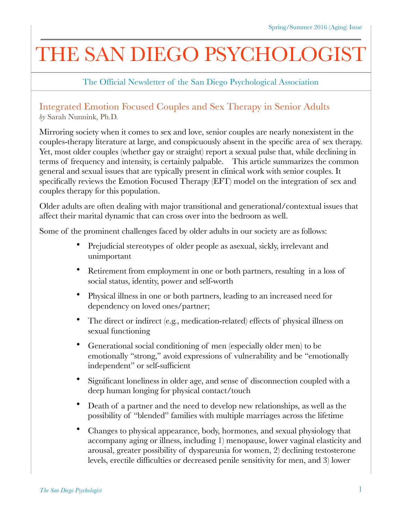## THE SAN DIEGO PSYCHOLOGIST

The Official Newsletter of the San Diego Psychological Association

## Integrated Emotion Focused Couples and Sex Therapy in Senior Adults *by* Sarah Nunnink, Ph.D.

Mirroring society when it comes to sex and love, senior couples are nearly nonexistent in the couples-therapy literature at large, and conspicuously absent in the specific area of sex therapy. Yet, most older couples (whether gay or straight) report a sexual pulse that, while declining in terms of frequency and intensity, is certainly palpable. This article summarizes the common general and sexual issues that are typically present in clinical work with senior couples. It specifically reviews the Emotion Focused Therapy (EFT) model on the integration of sex and couples therapy for this population.

Older adults are often dealing with major transitional and generational/contextual issues that affect their marital dynamic that can cross over into the bedroom as well.

Some of the prominent challenges faced by older adults in our society are as follows:

- Prejudicial stereotypes of older people as asexual, sickly, irrelevant and unimportant
- Retirement from employment in one or both partners, resulting in a loss of social status, identity, power and self-worth
- Physical illness in one or both partners, leading to an increased need for dependency on loved ones/partner;
- The direct or indirect (e.g., medication-related) effects of physical illness on sexual functioning
- Generational social conditioning of men (especially older men) to be emotionally "strong," avoid expressions of vulnerability and be "emotionally independent" or self-sufficient
- Significant loneliness in older age, and sense of disconnection coupled with a deep human longing for physical contact/touch
- Death of a partner and the need to develop new relationships, as well as the possibility of "blended" families with multiple marriages across the lifetime
- Changes to physical appearance, body, hormones, and sexual physiology that accompany aging or illness, including 1) menopause, lower vaginal elasticity and arousal, greater possibility of dyspareunia for women, 2) declining testosterone levels, erectile difficulties or decreased penile sensitivity for men, and 3) lower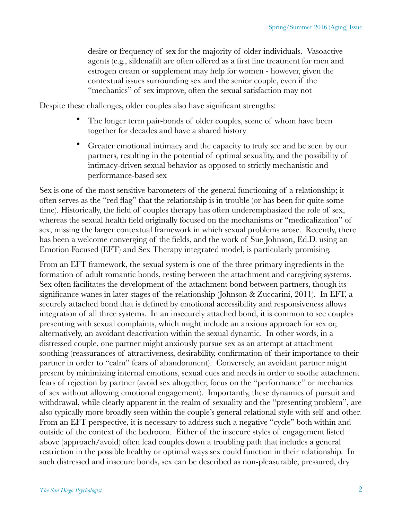desire or frequency of sex for the majority of older individuals. Vasoactive agents (e.g., sildenafil) are often offered as a first line treatment for men and estrogen cream or supplement may help for women - however, given the contextual issues surrounding sex and the senior couple, even if the "mechanics" of sex improve, often the sexual satisfaction may not

Despite these challenges, older couples also have significant strengths:

- The longer term pair-bonds of older couples, some of whom have been together for decades and have a shared history
- Greater emotional intimacy and the capacity to truly see and be seen by our partners, resulting in the potential of optimal sexuality, and the possibility of intimacy-driven sexual behavior as opposed to strictly mechanistic and performance-based sex

Sex is one of the most sensitive barometers of the general functioning of a relationship; it often serves as the "red flag" that the relationship is in trouble (or has been for quite some time). Historically, the field of couples therapy has often underemphasized the role of sex, whereas the sexual health field originally focused on the mechanisms or "medicalization" of sex, missing the larger contextual framework in which sexual problems arose. Recently, there has been a welcome converging of the fields, and the work of Sue Johnson, Ed.D. using an Emotion Focused (EFT) and Sex Therapy integrated model, is particularly promising.

From an EFT framework, the sexual system is one of the three primary ingredients in the formation of adult romantic bonds, resting between the attachment and caregiving systems. Sex often facilitates the development of the attachment bond between partners, though its significance wanes in later stages of the relationship (Johnson & Zuccarini, 2011). In EFT, a securely attached bond that is defined by emotional accessibility and responsiveness allows integration of all three systems. In an insecurely attached bond, it is common to see couples presenting with sexual complaints, which might include an anxious approach for sex or, alternatively, an avoidant deactivation within the sexual dynamic. In other words, in a distressed couple, one partner might anxiously pursue sex as an attempt at attachment soothing (reassurances of attractiveness, desirability, confirmation of their importance to their partner in order to "calm" fears of abandonment). Conversely, an avoidant partner might present by minimizing internal emotions, sexual cues and needs in order to soothe attachment fears of rejection by partner (avoid sex altogether, focus on the "performance" or mechanics of sex without allowing emotional engagement). Importantly, these dynamics of pursuit and withdrawal, while clearly apparent in the realm of sexuality and the "presenting problem", are also typically more broadly seen within the couple's general relational style with self and other. From an EFT perspective, it is necessary to address such a negative "cycle" both within and outside of the context of the bedroom. Either of the insecure styles of engagement listed above (approach/avoid) often lead couples down a troubling path that includes a general restriction in the possible healthy or optimal ways sex could function in their relationship. In such distressed and insecure bonds, sex can be described as non-pleasurable, pressured, dry